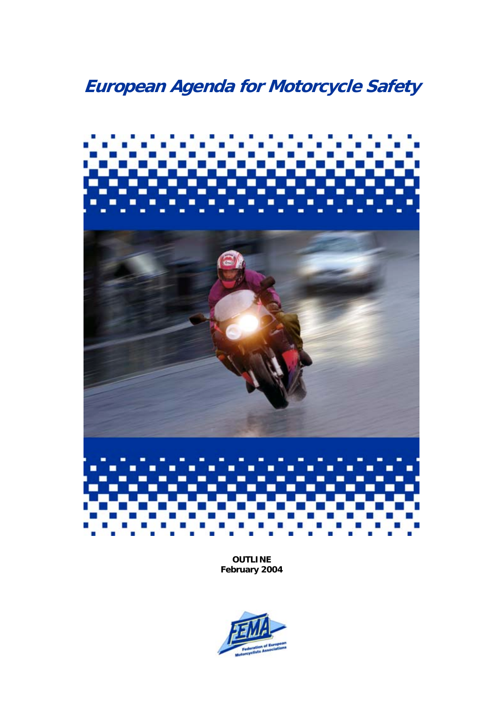# **European Agenda for Motorcycle Safety**



**OUTLINE February 2004**

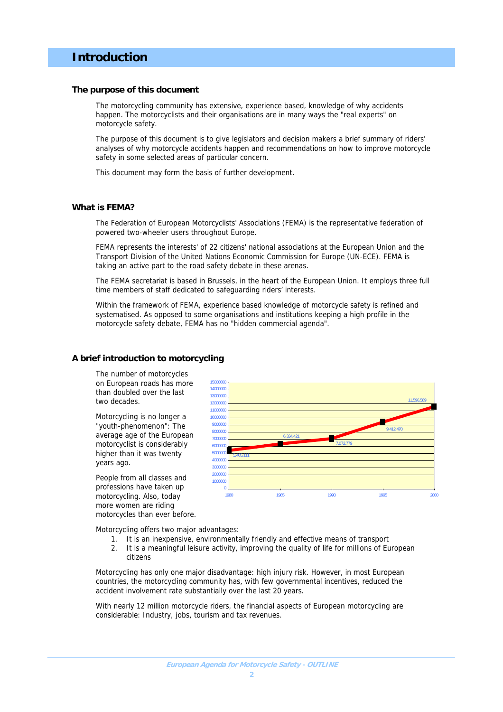### **Introduction**

#### **The purpose of this document**

The motorcycling community has extensive, experience based, knowledge of why accidents happen. The motorcyclists and their organisations are in many ways the "real experts" on motorcycle safety.

The purpose of this document is to give legislators and decision makers a brief summary of riders' analyses of why motorcycle accidents happen and recommendations on how to improve motorcycle safety in some selected areas of particular concern.

This document may form the basis of further development.

#### **What is FEMA?**

The Federation of European Motorcyclists' Associations (FEMA) is the representative federation of powered two-wheeler users throughout Europe.

FEMA represents the interests' of 22 citizens' national associations at the European Union and the Transport Division of the United Nations Economic Commission for Europe (UN-ECE). FEMA is taking an active part to the road safety debate in these arenas.

The FEMA secretariat is based in Brussels, in the heart of the European Union. It employs three full time members of staff dedicated to safeguarding riders' interests.

Within the framework of FEMA, experience based knowledge of motorcycle safety is refined and systematised. As opposed to some organisations and institutions keeping a high profile in the motorcycle safety debate, FEMA has no "hidden commercial agenda".

#### **A brief introduction to motorcycling**

The number of motorcycles on European roads has more than doubled over the last two decades.

Motorcycling is no longer a "youth-phenomenon": The average age of the European motorcyclist is considerably higher than it was twenty years ago.

People from all classes and professions have taken up motorcycling. Also, today more women are riding motorcycles than ever before.



Motorcycling offers two major advantages:

- 1. It is an inexpensive, environmentally friendly and effective means of transport
- 2. It is a meaningful leisure activity, improving the quality of life for millions of European citizens

Motorcycling has only one major disadvantage: high injury risk. However, in most European countries, the motorcycling community has, with few governmental incentives, reduced the accident involvement rate substantially over the last 20 years.

With nearly 12 million motorcycle riders, the financial aspects of European motorcycling are considerable: Industry, jobs, tourism and tax revenues.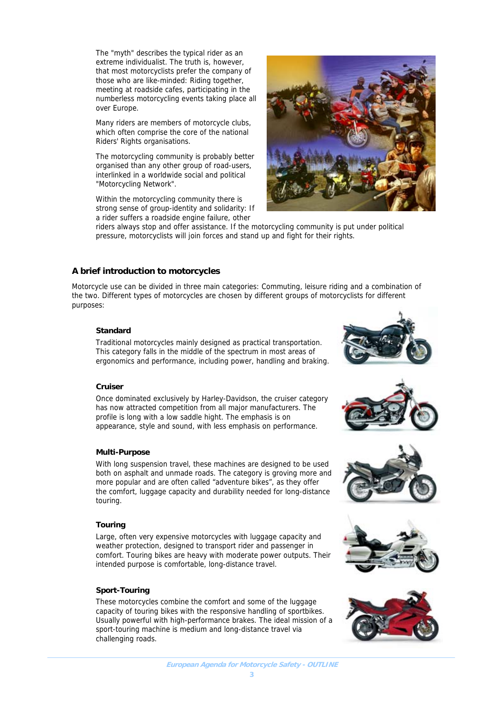The "myth" describes the typical rider as an extreme individualist. The truth is, however, that most motorcyclists prefer the company of those who are like-minded: Riding together, meeting at roadside cafes, participating in the numberless motorcycling events taking place all over Europe.

Many riders are members of motorcycle clubs, which often comprise the core of the national Riders' Rights organisations.

The motorcycling community is probably better organised than any other group of road-users, interlinked in a worldwide social and political "Motorcycling Network".

Within the motorcycling community there is strong sense of group-identity and solidarity: If a rider suffers a roadside engine failure, other



riders always stop and offer assistance. If the motorcycling community is put under political pressure, motorcyclists will join forces and stand up and fight for their rights.

#### **A brief introduction to motorcycles**

Motorcycle use can be divided in three main categories: Commuting, leisure riding and a combination of the two. Different types of motorcycles are chosen by different groups of motorcyclists for different purposes:

#### **Standard**

Traditional motorcycles mainly designed as practical transportation. This category falls in the middle of the spectrum in most areas of ergonomics and performance, including power, handling and braking.

#### **Cruiser**

Once dominated exclusively by Harley-Davidson, the cruiser category has now attracted competition from all major manufacturers. The profile is long with a low saddle hight. The emphasis is on appearance, style and sound, with less emphasis on performance.

#### **Multi-Purpose**

With long suspension travel, these machines are designed to be used both on asphalt and unmade roads. The category is groving more and more popular and are often called "adventure bikes", as they offer the comfort, luggage capacity and durability needed for long-distance touring.

#### **Touring**

Large, often very expensive motorcycles with luggage capacity and weather protection, designed to transport rider and passenger in comfort. Touring bikes are heavy with moderate power outputs. Their intended purpose is comfortable, long-distance travel.

#### **Sport-Touring**

These motorcycles combine the comfort and some of the luggage capacity of touring bikes with the responsive handling of sportbikes. Usually powerful with high-performance brakes. The ideal mission of a sport-touring machine is medium and long-distance travel via challenging roads.









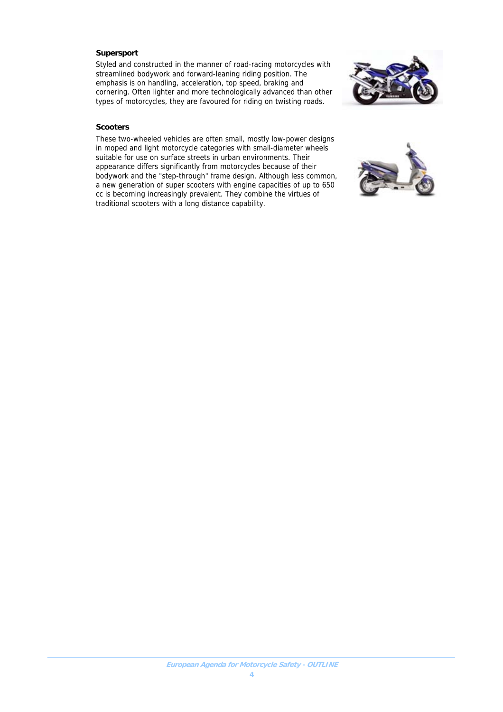#### **Supersport**

Styled and constructed in the manner of road-racing motorcycles with streamlined bodywork and forward-leaning riding position. The emphasis is on handling, acceleration, top speed, braking and cornering. Often lighter and more technologically advanced than other types of motorcycles, they are favoured for riding on twisting roads.



#### **Scooters**

These two-wheeled vehicles are often small, mostly low-power designs in moped and light motorcycle categories with small-diameter wheels suitable for use on surface streets in urban environments. Their appearance differs significantly from motorcycles because of their bodywork and the "step-through" frame design. Although less common, a new generation of super scooters with engine capacities of up to 650 cc is becoming increasingly prevalent. They combine the virtues of traditional scooters with a long distance capability.

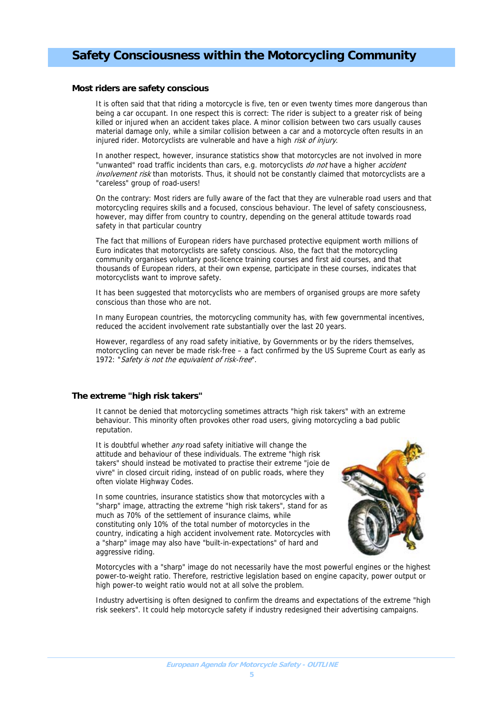## **Safety Consciousness within the Motorcycling Community**

#### **Most riders are safety conscious**

It is often said that that riding a motorcycle is five, ten or even twenty times more dangerous than being a car occupant. In one respect this is correct: The rider is subject to a greater risk of being killed or injured when an accident takes place. A minor collision between two cars usually causes material damage only, while a similar collision between a car and a motorcycle often results in an injured rider. Motorcyclists are vulnerable and have a high risk of injury.

In another respect, however, insurance statistics show that motorcycles are not involved in more "unwanted" road traffic incidents than cars, e.g. motorcyclists do not have a higher accident involvement risk than motorists. Thus, it should not be constantly claimed that motorcyclists are a "careless" group of road-users!

On the contrary: Most riders are fully aware of the fact that they are vulnerable road users and that motorcycling requires skills and a focused, conscious behaviour. The level of safety consciousness, however, may differ from country to country, depending on the general attitude towards road safety in that particular country

The fact that millions of European riders have purchased protective equipment worth millions of Euro indicates that motorcyclists are safety conscious. Also, the fact that the motorcycling community organises voluntary post-licence training courses and first aid courses, and that thousands of European riders, at their own expense, participate in these courses, indicates that motorcyclists want to improve safety.

It has been suggested that motorcyclists who are members of organised groups are more safety conscious than those who are not.

In many European countries, the motorcycling community has, with few governmental incentives, reduced the accident involvement rate substantially over the last 20 years.

However, regardless of any road safety initiative, by Governments or by the riders themselves, motorcycling can never be made risk-free – a fact confirmed by the US Supreme Court as early as 1972: "Safety is not the equivalent of risk-free".

#### **The extreme "high risk takers"**

It cannot be denied that motorcycling sometimes attracts "high risk takers" with an extreme behaviour. This minority often provokes other road users, giving motorcycling a bad public reputation.

It is doubtful whether any road safety initiative will change the attitude and behaviour of these individuals. The extreme "high risk takers" should instead be motivated to practise their extreme "joie de vivre" in closed circuit riding, instead of on public roads, where they often violate Highway Codes.

In some countries, insurance statistics show that motorcycles with a "sharp" image, attracting the extreme "high risk takers", stand for as much as 70% of the settlement of insurance claims, while constituting only 10% of the total number of motorcycles in the country, indicating a high accident involvement rate. Motorcycles with a "sharp" image may also have "built-in-expectations" of hard and aggressive riding.



Motorcycles with a "sharp" image do not necessarily have the most powerful engines or the highest power-to-weight ratio. Therefore, restrictive legislation based on engine capacity, power output or high power-to weight ratio would not at all solve the problem.

Industry advertising is often designed to confirm the dreams and expectations of the extreme "high risk seekers". It could help motorcycle safety if industry redesigned their advertising campaigns.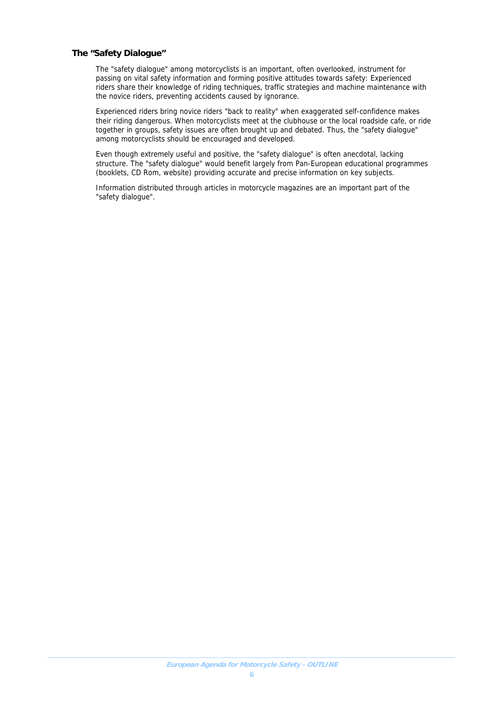#### **The "Safety Dialogue"**

The "safety dialogue" among motorcyclists is an important, often overlooked, instrument for passing on vital safety information and forming positive attitudes towards safety: Experienced riders share their knowledge of riding techniques, traffic strategies and machine maintenance with the novice riders, preventing accidents caused by ignorance.

Experienced riders bring novice riders "back to reality" when exaggerated self-confidence makes their riding dangerous. When motorcyclists meet at the clubhouse or the local roadside cafe, or ride together in groups, safety issues are often brought up and debated. Thus, the "safety dialogue" among motorcyclists should be encouraged and developed.

Even though extremely useful and positive, the "safety dialogue" is often anecdotal, lacking structure. The "safety dialogue" would benefit largely from Pan-European educational programmes (booklets, CD Rom, website) providing accurate and precise information on key subjects.

Information distributed through articles in motorcycle magazines are an important part of the "safety dialogue".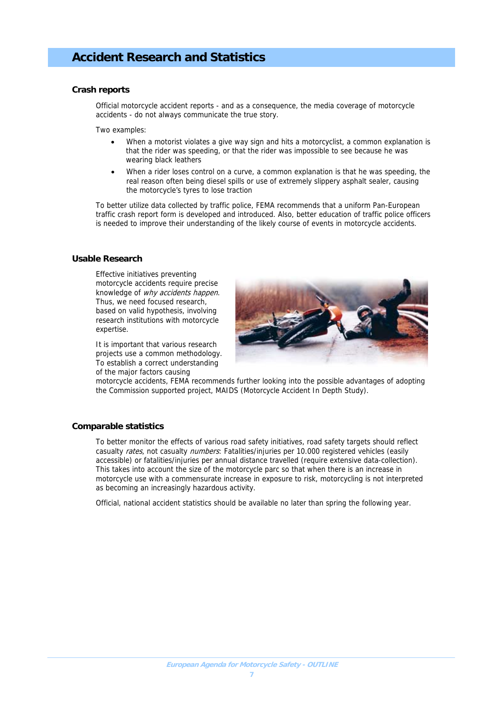## **Accident Research and Statistics**

#### **Crash reports**

Official motorcycle accident reports - and as a consequence, the media coverage of motorcycle accidents - do not always communicate the true story.

Two examples:

- When a motorist violates a give way sign and hits a motorcyclist, a common explanation is that the rider was speeding, or that the rider was impossible to see because he was wearing black leathers
- When a rider loses control on a curve, a common explanation is that he was speeding, the real reason often being diesel spills or use of extremely slippery asphalt sealer, causing the motorcycle's tyres to lose traction

To better utilize data collected by traffic police, FEMA recommends that a uniform Pan-European traffic crash report form is developed and introduced. Also, better education of traffic police officers is needed to improve their understanding of the likely course of events in motorcycle accidents.

#### **Usable Research**

Effective initiatives preventing motorcycle accidents require precise knowledge of *why accidents happen*. Thus, we need focused research, based on valid hypothesis, involving research institutions with motorcycle expertise.

It is important that various research projects use a common methodology. To establish a correct understanding of the major factors causing



motorcycle accidents, FEMA recommends further looking into the possible advantages of adopting the Commission supported project, MAIDS (Motorcycle Accident In Depth Study).

#### **Comparable statistics**

To better monitor the effects of various road safety initiatives, road safety targets should reflect casualty *rates*, not casualty *numbers*: Fatalities/injuries per 10.000 registered vehicles (easily accessible) or fatalities/injuries per annual distance travelled (require extensive data-collection). This takes into account the size of the motorcycle parc so that when there is an increase in motorcycle use with a commensurate increase in exposure to risk, motorcycling is not interpreted as becoming an increasingly hazardous activity.

Official, national accident statistics should be available no later than spring the following year.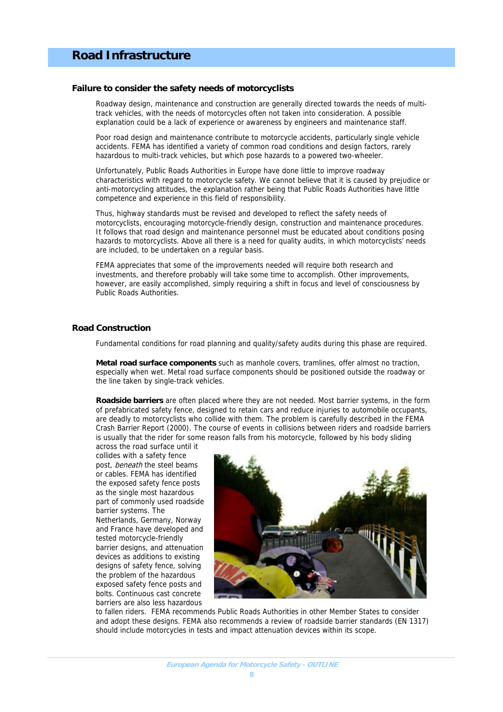## **Road Infrastructure**

#### **Failure to consider the safety needs of motorcyclists**

Roadway design, maintenance and construction are generally directed towards the needs of multitrack vehicles, with the needs of motorcycles often not taken into consideration. A possible explanation could be a lack of experience or awareness by engineers and maintenance staff.

Poor road design and maintenance contribute to motorcycle accidents, particularly single vehicle accidents. FEMA has identified a variety of common road conditions and design factors, rarely hazardous to multi-track vehicles, but which pose hazards to a powered two-wheeler.

Unfortunately, Public Roads Authorities in Europe have done little to improve roadway characteristics with regard to motorcycle safety. We cannot believe that it is caused by prejudice or anti-motorcycling attitudes, the explanation rather being that Public Roads Authorities have little competence and experience in this field of responsibility.

Thus, highway standards must be revised and developed to reflect the safety needs of motorcyclists, encouraging motorcycle-friendly design, construction and maintenance procedures. It follows that road design and maintenance personnel must be educated about conditions posing hazards to motorcyclists. Above all there is a need for quality audits, in which motorcyclists' needs are included, to be undertaken on a regular basis.

FEMA appreciates that some of the improvements needed will require both research and investments, and therefore probably will take some time to accomplish. Other improvements, however, are easily accomplished, simply requiring a shift in focus and level of consciousness by Public Roads Authorities.

#### **Road Construction**

Fundamental conditions for road planning and quality/safety audits during this phase are required.

**Metal road surface components** such as manhole covers, tramlines, offer almost no traction, especially when wet. Metal road surface components should be positioned outside the roadway or the line taken by single-track vehicles.

**Roadside barriers** are often placed where they are not needed. Most barrier systems, in the form of prefabricated safety fence, designed to retain cars and reduce injuries to automobile occupants, are deadly to motorcyclists who collide with them. The problem is carefully described in the FEMA Crash Barrier Report (2000). The course of events in collisions between riders and roadside barriers is usually that the rider for some reason falls from his motorcycle, followed by his body sliding

across the road surface until it collides with a safety fence post, beneath the steel beams or cables. FEMA has identified the exposed safety fence posts as the single most hazardous part of commonly used roadside barrier systems. The Netherlands, Germany, Norway and France have developed and tested motorcycle-friendly barrier designs, and attenuation devices as additions to existing designs of safety fence, solving the problem of the hazardous exposed safety fence posts and bolts. Continuous cast concrete barriers are also less hazardous



to fallen riders. FEMA recommends Public Roads Authorities in other Member States to consider and adopt these designs. FEMA also recommends a review of roadside barrier standards (EN 1317) should include motorcycles in tests and impact attenuation devices within its scope.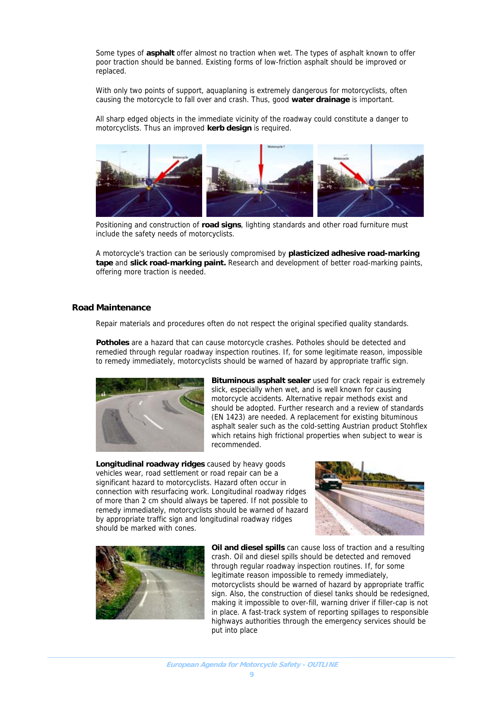Some types of **asphalt** offer almost no traction when wet. The types of asphalt known to offer poor traction should be banned. Existing forms of low-friction asphalt should be improved or replaced.

With only two points of support, aquaplaning is extremely dangerous for motorcyclists, often causing the motorcycle to fall over and crash. Thus, good **water drainage** is important.

All sharp edged objects in the immediate vicinity of the roadway could constitute a danger to motorcyclists. Thus an improved **kerb design** is required.



Positioning and construction of **road signs**, lighting standards and other road furniture must include the safety needs of motorcyclists.

A motorcycle's traction can be seriously compromised by **plasticized adhesive road-marking tape** and **slick road-marking paint.** Research and development of better road-marking paints, offering more traction is needed.

#### **Road Maintenance**

Repair materials and procedures often do not respect the original specified quality standards.

**Potholes** are a hazard that can cause motorcycle crashes. Potholes should be detected and remedied through regular roadway inspection routines. If, for some legitimate reason, impossible to remedy immediately, motorcyclists should be warned of hazard by appropriate traffic sign.



**Bituminous asphalt sealer** used for crack repair is extremely slick, especially when wet, and is well known for causing motorcycle accidents. Alternative repair methods exist and should be adopted. Further research and a review of standards (EN 1423) are needed. A replacement for existing bituminous asphalt sealer such as the cold-setting Austrian product Stohflex which retains high frictional properties when subject to wear is recommended.

**Longitudinal roadway ridges** caused by heavy goods vehicles wear, road settlement or road repair can be a significant hazard to motorcyclists. Hazard often occur in connection with resurfacing work. Longitudinal roadway ridges of more than 2 cm should always be tapered. If not possible to remedy immediately, motorcyclists should be warned of hazard by appropriate traffic sign and longitudinal roadway ridges should be marked with cones.





**Oil and diesel spills** can cause loss of traction and a resulting crash. Oil and diesel spills should be detected and removed through regular roadway inspection routines. If, for some legitimate reason impossible to remedy immediately, motorcyclists should be warned of hazard by appropriate traffic sign. Also, the construction of diesel tanks should be redesigned, making it impossible to over-fill, warning driver if filler-cap is not in place. A fast-track system of reporting spillages to responsible highways authorities through the emergency services should be put into place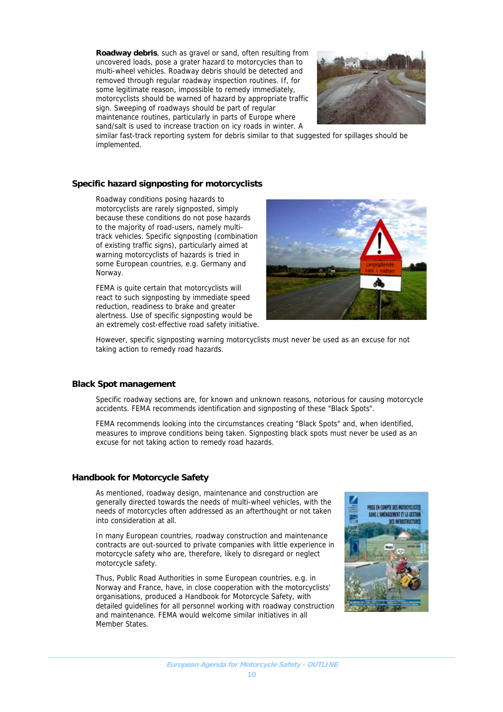**Roadway debris**, such as gravel or sand, often resulting from uncovered loads, pose a grater hazard to motorcycles than to multi-wheel vehicles. Roadway debris should be detected and removed through regular roadway inspection routines. If, for some legitimate reason, impossible to remedy immediately, motorcyclists should be warned of hazard by appropriate traffic sign. Sweeping of roadways should be part of regular maintenance routines, particularly in parts of Europe where sand/salt is used to increase traction on icy roads in winter. A



similar fast-track reporting system for debris similar to that suggested for spillages should be implemented.

#### **Specific hazard signposting for motorcyclists**

Roadway conditions posing hazards to motorcyclists are rarely signposted, simply because these conditions do not pose hazards to the majority of road-users, namely multitrack vehicles. Specific signposting (combination of existing traffic signs), particularly aimed at warning motorcyclists of hazards is tried in some European countries, e.g. Germany and Norway.

FEMA is quite certain that motorcyclists will react to such signposting by immediate speed reduction, readiness to brake and greater alertness. Use of specific signposting would be an extremely cost-effective road safety initiative.



However, specific signposting warning motorcyclists must never be used as an excuse for not taking action to remedy road hazards.

#### **Black Spot management**

Specific roadway sections are, for known and unknown reasons, notorious for causing motorcycle accidents. FEMA recommends identification and signposting of these "Black Spots".

FEMA recommends looking into the circumstances creating "Black Spots" and, when identified, measures to improve conditions being taken. Signposting black spots must never be used as an excuse for not taking action to remedy road hazards.

#### **Handbook for Motorcycle Safety**

As mentioned, roadway design, maintenance and construction are generally directed towards the needs of multi-wheel vehicles, with the needs of motorcycles often addressed as an afterthought or not taken into consideration at all.

In many European countries, roadway construction and maintenance contracts are out-sourced to private companies with little experience in motorcycle safety who are, therefore, likely to disregard or neglect motorcycle safety.

Thus, Public Road Authorities in some European countries, e.g. in Norway and France, have, in close cooperation with the motorcyclists' organisations, produced a Handbook for Motorcycle Safety, with detailed guidelines for all personnel working with roadway construction and maintenance. FEMA would welcome similar initiatives in all Member States.

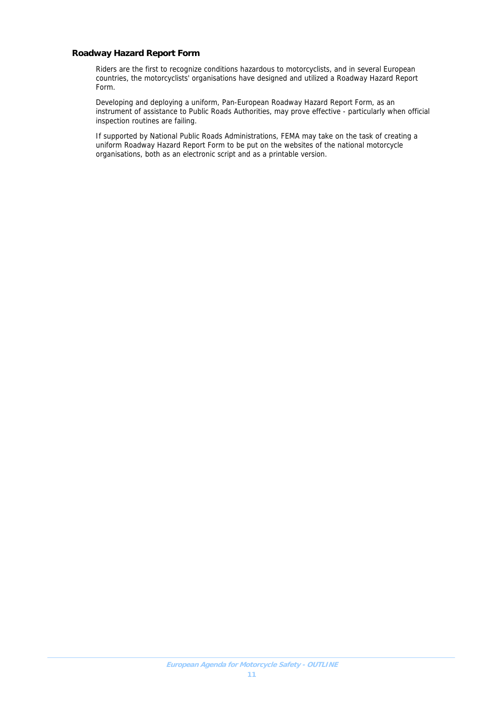#### **Roadway Hazard Report Form**

Riders are the first to recognize conditions hazardous to motorcyclists, and in several European countries, the motorcyclists' organisations have designed and utilized a Roadway Hazard Report Form.

Developing and deploying a uniform, Pan-European Roadway Hazard Report Form, as an instrument of assistance to Public Roads Authorities, may prove effective - particularly when official inspection routines are failing.

If supported by National Public Roads Administrations, FEMA may take on the task of creating a uniform Roadway Hazard Report Form to be put on the websites of the national motorcycle organisations, both as an electronic script and as a printable version.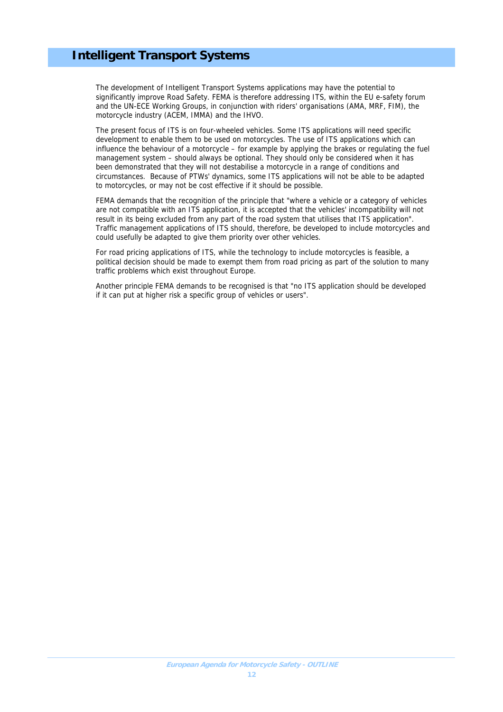## **Intelligent Transport Systems**

The development of Intelligent Transport Systems applications may have the potential to significantly improve Road Safety. FEMA is therefore addressing ITS, within the EU e-safety forum and the UN-ECE Working Groups, in conjunction with riders' organisations (AMA, MRF, FIM), the motorcycle industry (ACEM, IMMA) and the IHVO.

The present focus of ITS is on four-wheeled vehicles. Some ITS applications will need specific development to enable them to be used on motorcycles. The use of ITS applications which can influence the behaviour of a motorcycle – for example by applying the brakes or regulating the fuel management system – should always be optional. They should only be considered when it has been demonstrated that they will not destabilise a motorcycle in a range of conditions and circumstances. Because of PTWs' dynamics, some ITS applications will not be able to be adapted to motorcycles, or may not be cost effective if it should be possible.

FEMA demands that the recognition of the principle that "where a vehicle or a category of vehicles are not compatible with an ITS application, it is accepted that the vehicles' incompatibility will not result in its being excluded from any part of the road system that utilises that ITS application". Traffic management applications of ITS should, therefore, be developed to include motorcycles and could usefully be adapted to give them priority over other vehicles.

For road pricing applications of ITS, while the technology to include motorcycles is feasible, a political decision should be made to exempt them from road pricing as part of the solution to many traffic problems which exist throughout Europe.

Another principle FEMA demands to be recognised is that "no ITS application should be developed if it can put at higher risk a specific group of vehicles or users".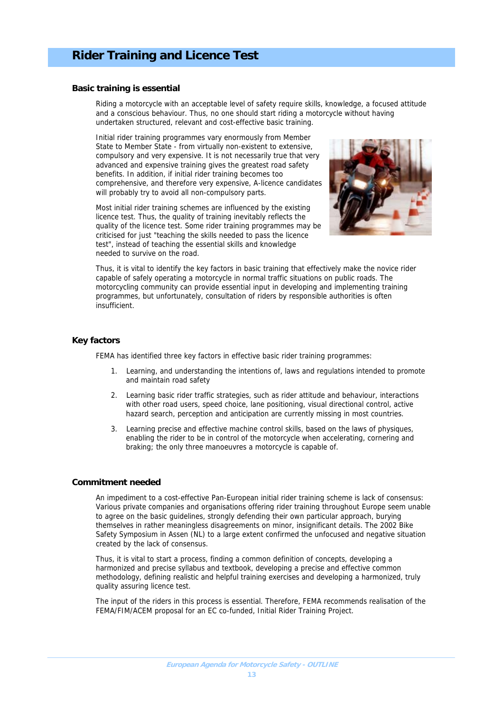#### **Basic training is essential**

Riding a motorcycle with an acceptable level of safety require skills, knowledge, a focused attitude and a conscious behaviour. Thus, no one should start riding a motorcycle without having undertaken structured, relevant and cost-effective basic training.

Initial rider training programmes vary enormously from Member State to Member State - from virtually non-existent to extensive, compulsory and very expensive. It is not necessarily true that very advanced and expensive training gives the greatest road safety benefits. In addition, if initial rider training becomes too comprehensive, and therefore very expensive, A-licence candidates will probably try to avoid all non-compulsory parts.

Most initial rider training schemes are influenced by the existing licence test. Thus, the quality of training inevitably reflects the quality of the licence test. Some rider training programmes may be criticised for just "teaching the skills needed to pass the licence test", instead of teaching the essential skills and knowledge needed to survive on the road.



Thus, it is vital to identify the key factors in basic training that effectively make the novice rider capable of safely operating a motorcycle in normal traffic situations on public roads. The motorcycling community can provide essential input in developing and implementing training programmes, but unfortunately, consultation of riders by responsible authorities is often insufficient.

#### **Key factors**

FEMA has identified three key factors in effective basic rider training programmes:

- 1. Learning, and understanding the intentions of, laws and regulations intended to promote and maintain road safety
- 2. Learning basic rider traffic strategies, such as rider attitude and behaviour, interactions with other road users, speed choice, lane positioning, visual directional control, active hazard search, perception and anticipation are currently missing in most countries.
- 3. Learning precise and effective machine control skills, based on the laws of physiques, enabling the rider to be in control of the motorcycle when accelerating, cornering and braking; the only three manoeuvres a motorcycle is capable of.

#### **Commitment needed**

An impediment to a cost-effective Pan-European initial rider training scheme is lack of consensus: Various private companies and organisations offering rider training throughout Europe seem unable to agree on the basic guidelines, strongly defending their own particular approach, burying themselves in rather meaningless disagreements on minor, insignificant details. The 2002 Bike Safety Symposium in Assen (NL) to a large extent confirmed the unfocused and negative situation created by the lack of consensus.

Thus, it is vital to start a process, finding a common definition of concepts, developing a harmonized and precise syllabus and textbook, developing a precise and effective common methodology, defining realistic and helpful training exercises and developing a harmonized, truly quality assuring licence test.

The input of the riders in this process is essential. Therefore, FEMA recommends realisation of the FEMA/FIM/ACEM proposal for an EC co-funded, Initial Rider Training Project.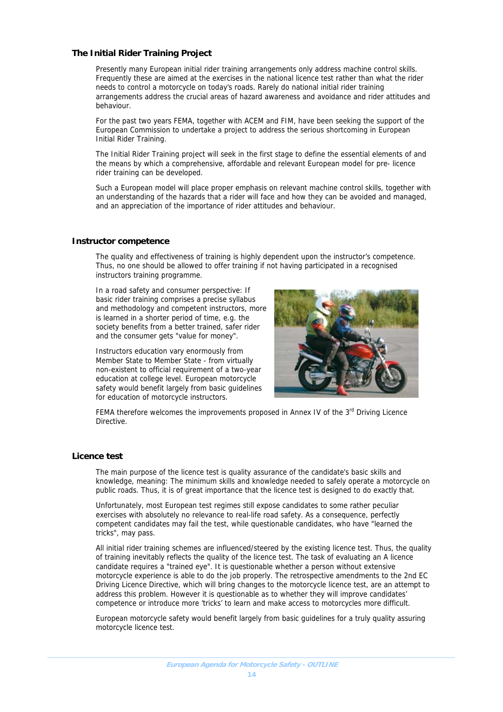#### **The Initial Rider Training Project**

Presently many European initial rider training arrangements only address machine control skills. Frequently these are aimed at the exercises in the national licence test rather than what the rider needs to control a motorcycle on today's roads. Rarely do national initial rider training arrangements address the crucial areas of hazard awareness and avoidance and rider attitudes and behaviour.

For the past two years FEMA, together with ACEM and FIM, have been seeking the support of the European Commission to undertake a project to address the serious shortcoming in European Initial Rider Training.

The Initial Rider Training project will seek in the first stage to define the essential elements of and the means by which a comprehensive, affordable and relevant European model for pre- licence rider training can be developed.

Such a European model will place proper emphasis on relevant machine control skills, together with an understanding of the hazards that a rider will face and how they can be avoided and managed, and an appreciation of the importance of rider attitudes and behaviour.

#### **Instructor competence**

The quality and effectiveness of training is highly dependent upon the instructor's competence. Thus, no one should be allowed to offer training if not having participated in a recognised instructors training programme.

In a road safety and consumer perspective: If basic rider training comprises a precise syllabus and methodology and competent instructors, more is learned in a shorter period of time, e.g. the society benefits from a better trained, safer rider and the consumer gets "value for money".

Instructors education vary enormously from Member State to Member State - from virtually non-existent to official requirement of a two-year education at college level. European motorcycle safety would benefit largely from basic guidelines for education of motorcycle instructors.



FEMA therefore welcomes the improvements proposed in Annex IV of the 3<sup>rd</sup> Driving Licence Directive.

#### **Licence test**

The main purpose of the licence test is quality assurance of the candidate's basic skills and knowledge, meaning: The minimum skills and knowledge needed to safely operate a motorcycle on public roads. Thus, it is of great importance that the licence test is designed to do exactly that.

Unfortunately, most European test regimes still expose candidates to some rather peculiar exercises with absolutely no relevance to real-life road safety. As a consequence, perfectly competent candidates may fail the test, while questionable candidates, who have "learned the tricks", may pass.

All initial rider training schemes are influenced/steered by the existing licence test. Thus, the quality of training inevitably reflects the quality of the licence test. The task of evaluating an A licence candidate requires a "trained eye". It is questionable whether a person without extensive motorcycle experience is able to do the job properly. The retrospective amendments to the 2nd EC Driving Licence Directive, which will bring changes to the motorcycle licence test, are an attempt to address this problem. However it is questionable as to whether they will improve candidates' competence or introduce more 'tricks' to learn and make access to motorcycles more difficult.

European motorcycle safety would benefit largely from basic guidelines for a truly quality assuring motorcycle licence test.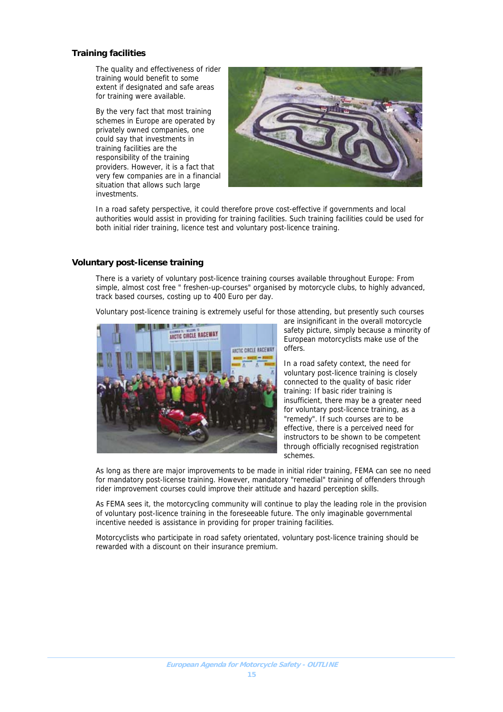#### **Training facilities**

The quality and effectiveness of rider training would benefit to some extent if designated and safe areas for training were available.

By the very fact that most training schemes in Europe are operated by privately owned companies, one could say that investments in training facilities are the responsibility of the training providers. However, it is a fact that very few companies are in a financial situation that allows such large investments.



In a road safety perspective, it could therefore prove cost-effective if governments and local authorities would assist in providing for training facilities. Such training facilities could be used for both initial rider training, licence test and voluntary post-licence training.

#### **Voluntary post-license training**

There is a variety of voluntary post-licence training courses available throughout Europe: From simple, almost cost free " freshen-up-courses" organised by motorcycle clubs, to highly advanced, track based courses, costing up to 400 Euro per day.

Voluntary post-licence training is extremely useful for those attending, but presently such courses



are insignificant in the overall motorcycle safety picture, simply because a minority of European motorcyclists make use of the offers.

In a road safety context, the need for voluntary post-licence training is closely connected to the quality of basic rider training: If basic rider training is insufficient, there may be a greater need for voluntary post-licence training, as a "remedy". If such courses are to be effective, there is a perceived need for instructors to be shown to be competent through officially recognised registration schemes.

As long as there are major improvements to be made in initial rider training, FEMA can see no need for mandatory post-license training. However, mandatory "remedial" training of offenders through rider improvement courses could improve their attitude and hazard perception skills.

As FEMA sees it, the motorcycling community will continue to play the leading role in the provision of voluntary post-licence training in the foreseeable future. The only imaginable governmental incentive needed is assistance in providing for proper training facilities.

Motorcyclists who participate in road safety orientated, voluntary post-licence training should be rewarded with a discount on their insurance premium.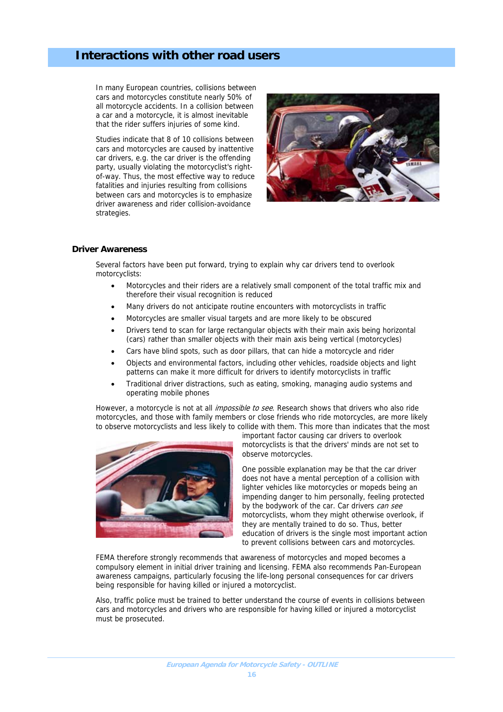## **Interactions with other road users**

In many European countries, collisions between cars and motorcycles constitute nearly 50% of all motorcycle accidents. In a collision between a car and a motorcycle, it is almost inevitable that the rider suffers injuries of some kind.

Studies indicate that 8 of 10 collisions between cars and motorcycles are caused by inattentive car drivers, e.g. the car driver is the offending party, usually violating the motorcyclist's rightof-way. Thus, the most effective way to reduce fatalities and injuries resulting from collisions between cars and motorcycles is to emphasize driver awareness and rider collision-avoidance strategies.



#### **Driver Awareness**

Several factors have been put forward, trying to explain why car drivers tend to overlook motorcyclists:

- Motorcycles and their riders are a relatively small component of the total traffic mix and therefore their visual recognition is reduced
- Many drivers do not anticipate routine encounters with motorcyclists in traffic
- Motorcycles are smaller visual targets and are more likely to be obscured
- Drivers tend to scan for large rectangular objects with their main axis being horizontal (cars) rather than smaller objects with their main axis being vertical (motorcycles)
- Cars have blind spots, such as door pillars, that can hide a motorcycle and rider
- Objects and environmental factors, including other vehicles, roadside objects and light patterns can make it more difficult for drivers to identify motorcyclists in traffic
- Traditional driver distractions, such as eating, smoking, managing audio systems and operating mobile phones

However, a motorcycle is not at all *impossible to see*. Research shows that drivers who also ride motorcycles, and those with family members or close friends who ride motorcycles, are more likely to observe motorcyclists and less likely to collide with them. This more than indicates that the most



important factor causing car drivers to overlook motorcyclists is that the drivers' minds are not set to observe motorcycles.

One possible explanation may be that the car driver does not have a mental perception of a collision with lighter vehicles like motorcycles or mopeds being an impending danger to him personally, feeling protected by the bodywork of the car. Car drivers can see motorcyclists, whom they might otherwise overlook, if they are mentally trained to do so. Thus, better education of drivers is the single most important action to prevent collisions between cars and motorcycles.

FEMA therefore strongly recommends that awareness of motorcycles and moped becomes a compulsory element in initial driver training and licensing. FEMA also recommends Pan-European awareness campaigns, particularly focusing the life-long personal consequences for car drivers being responsible for having killed or injured a motorcyclist.

Also, traffic police must be trained to better understand the course of events in collisions between cars and motorcycles and drivers who are responsible for having killed or injured a motorcyclist must be prosecuted.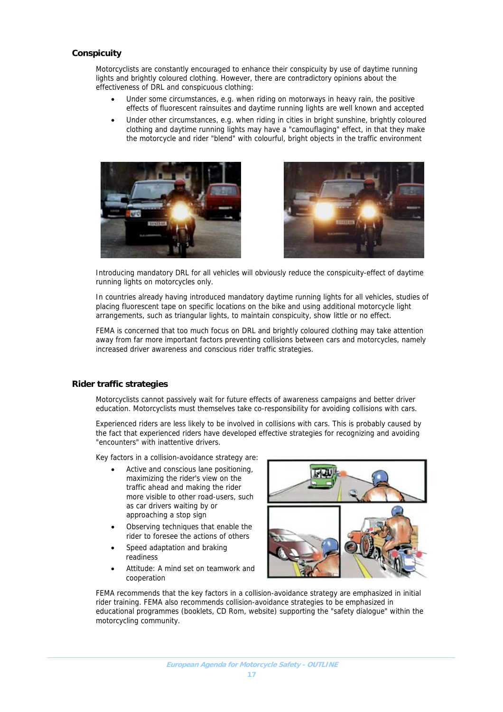#### **Conspicuity**

Motorcyclists are constantly encouraged to enhance their conspicuity by use of daytime running lights and brightly coloured clothing. However, there are contradictory opinions about the effectiveness of DRL and conspicuous clothing:

- Under some circumstances, e.g. when riding on motorways in heavy rain, the positive effects of fluorescent rainsuites and daytime running lights are well known and accepted
- Under other circumstances, e.g. when riding in cities in bright sunshine, brightly coloured clothing and daytime running lights may have a "camouflaging" effect, in that they make the motorcycle and rider "blend" with colourful, bright objects in the traffic environment





Introducing mandatory DRL for all vehicles will obviously reduce the conspicuity-effect of daytime running lights on motorcycles only.

In countries already having introduced mandatory daytime running lights for all vehicles, studies of placing fluorescent tape on specific locations on the bike and using additional motorcycle light arrangements, such as triangular lights, to maintain conspicuity, show little or no effect.

FEMA is concerned that too much focus on DRL and brightly coloured clothing may take attention away from far more important factors preventing collisions between cars and motorcycles, namely increased driver awareness and conscious rider traffic strategies.

#### **Rider traffic strategies**

Motorcyclists cannot passively wait for future effects of awareness campaigns and better driver education. Motorcyclists must themselves take co-responsibility for avoiding collisions with cars.

Experienced riders are less likely to be involved in collisions with cars. This is probably caused by the fact that experienced riders have developed effective strategies for recognizing and avoiding "encounters" with inattentive drivers.

Key factors in a collision-avoidance strategy are:

- Active and conscious lane positioning, maximizing the rider's view on the traffic ahead and making the rider more visible to other road-users, such as car drivers waiting by or approaching a stop sign
- Observing techniques that enable the rider to foresee the actions of others
- Speed adaptation and braking readiness
- Attitude: A mind set on teamwork and cooperation



FEMA recommends that the key factors in a collision-avoidance strategy are emphasized in initial rider training. FEMA also recommends collision-avoidance strategies to be emphasized in educational programmes (booklets, CD Rom, website) supporting the "safety dialogue" within the motorcycling community.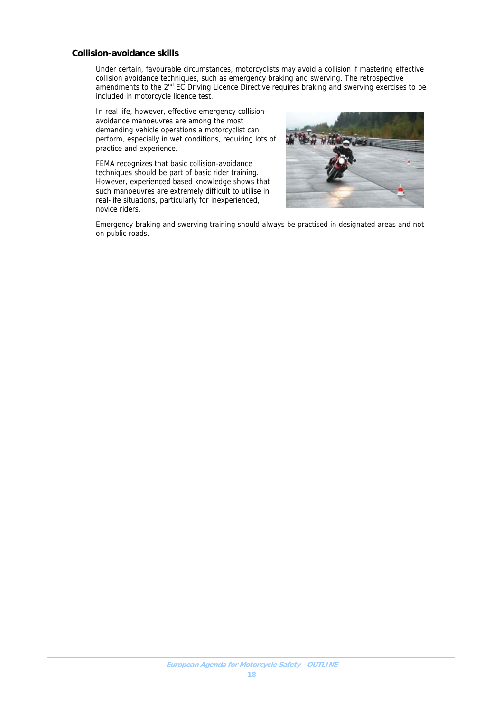#### **Collision-avoidance skills**

Under certain, favourable circumstances, motorcyclists may avoid a collision if mastering effective collision avoidance techniques, such as emergency braking and swerving. The retrospective amendments to the 2<sup>nd</sup> EC Driving Licence Directive requires braking and swerving exercises to be included in motorcycle licence test.

In real life, however, effective emergency collisionavoidance manoeuvres are among the most demanding vehicle operations a motorcyclist can perform, especially in wet conditions, requiring lots of practice and experience.

FEMA recognizes that basic collision-avoidance techniques should be part of basic rider training. However, experienced based knowledge shows that such manoeuvres are extremely difficult to utilise in real-life situations, particularly for inexperienced, novice riders.



Emergency braking and swerving training should always be practised in designated areas and not on public roads.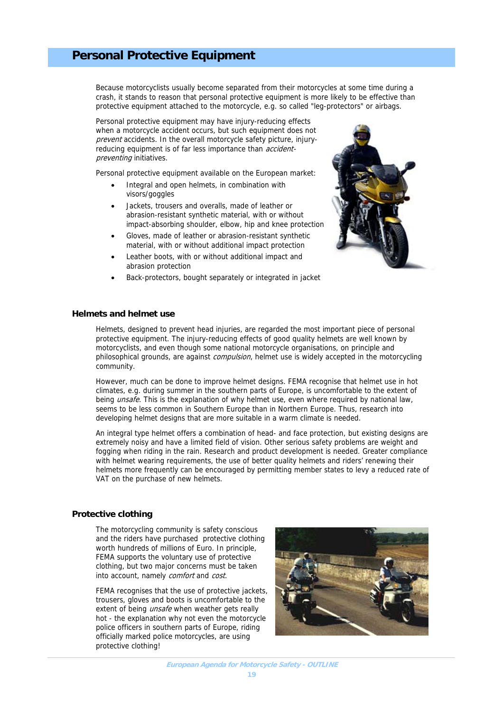## **Personal Protective Equipment**

Because motorcyclists usually become separated from their motorcycles at some time during a crash, it stands to reason that personal protective equipment is more likely to be effective than protective equipment attached to the motorcycle, e.g. so called "leg-protectors" or airbags.

Personal protective equipment may have injury-reducing effects when a motorcycle accident occurs, but such equipment does not prevent accidents. In the overall motorcycle safety picture, injuryreducing equipment is of far less importance than *accident*preventing initiatives.

Personal protective equipment available on the European market:

- Integral and open helmets, in combination with visors/goggles
- Jackets, trousers and overalls, made of leather or abrasion-resistant synthetic material, with or without impact-absorbing shoulder, elbow, hip and knee protection
- Gloves, made of leather or abrasion-resistant synthetic material, with or without additional impact protection
- Leather boots, with or without additional impact and abrasion protection
- Back-protectors, bought separately or integrated in jacket



#### **Helmets and helmet use**

Helmets, designed to prevent head injuries, are regarded the most important piece of personal protective equipment. The injury-reducing effects of good quality helmets are well known by motorcyclists, and even though some national motorcycle organisations, on principle and philosophical grounds, are against *compulsion*, helmet use is widely accepted in the motorcycling community.

However, much can be done to improve helmet designs. FEMA recognise that helmet use in hot climates, e.g. during summer in the southern parts of Europe, is uncomfortable to the extent of being *unsafe*. This is the explanation of why helmet use, even where required by national law, seems to be less common in Southern Europe than in Northern Europe. Thus, research into developing helmet designs that are more suitable in a warm climate is needed.

An integral type helmet offers a combination of head- and face protection, but existing designs are extremely noisy and have a limited field of vision. Other serious safety problems are weight and fogging when riding in the rain. Research and product development is needed. Greater compliance with helmet wearing requirements, the use of better quality helmets and riders' renewing their helmets more frequently can be encouraged by permitting member states to levy a reduced rate of VAT on the purchase of new helmets.

#### **Protective clothing**

The motorcycling community is safety conscious and the riders have purchased protective clothing worth hundreds of millions of Euro. In principle, FEMA supports the voluntary use of protective clothing, but two major concerns must be taken into account, namely comfort and cost.

FEMA recognises that the use of protective jackets, trousers, gloves and boots is uncomfortable to the extent of being *unsafe* when weather gets really hot - the explanation why not even the motorcycle police officers in southern parts of Europe, riding officially marked police motorcycles, are using protective clothing!

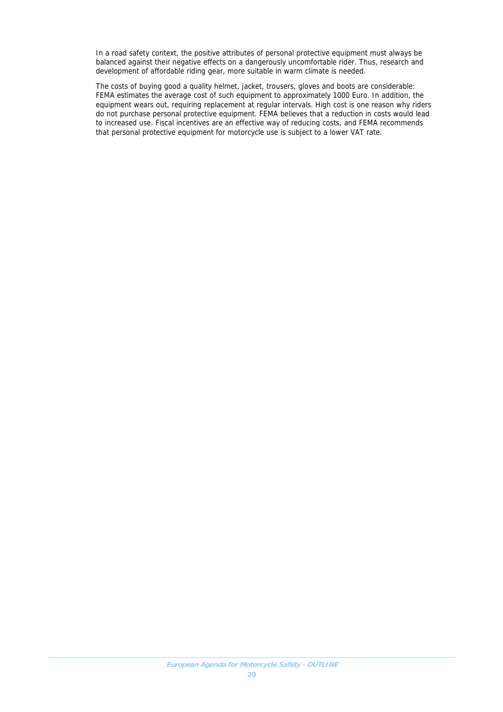In a road safety context, the positive attributes of personal protective equipment must always be balanced against their negative effects on a dangerously uncomfortable rider. Thus, research and development of affordable riding gear, more suitable in warm climate is needed.

The costs of buying good a quality helmet, jacket, trousers, gloves and boots are considerable: FEMA estimates the average cost of such equipment to approximately 1000 Euro. In addition, the equipment wears out, requiring replacement at regular intervals. High cost is one reason why riders do not purchase personal protective equipment. FEMA believes that a reduction in costs would lead to increased use. Fiscal incentives are an effective way of reducing costs, and FEMA recommends that personal protective equipment for motorcycle use is subject to a lower VAT rate.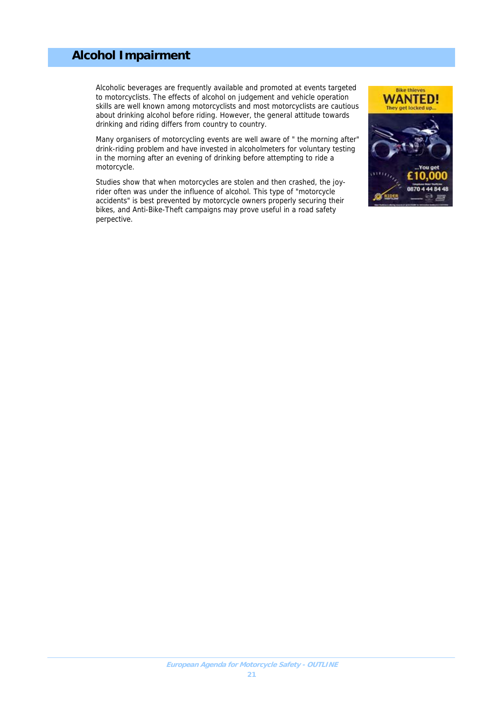## **Alcohol Impairment**

Alcoholic beverages are frequently available and promoted at events targeted to motorcyclists. The effects of alcohol on judgement and vehicle operation skills are well known among motorcyclists and most motorcyclists are cautious about drinking alcohol before riding. However, the general attitude towards drinking and riding differs from country to country.

Many organisers of motorcycling events are well aware of " the morning after" drink-riding problem and have invested in alcoholmeters for voluntary testing in the morning after an evening of drinking before attempting to ride a motorcycle.

Studies show that when motorcycles are stolen and then crashed, the joyrider often was under the influence of alcohol. This type of "motorcycle accidents" is best prevented by motorcycle owners properly securing their bikes, and Anti-Bike-Theft campaigns may prove useful in a road safety perpective.

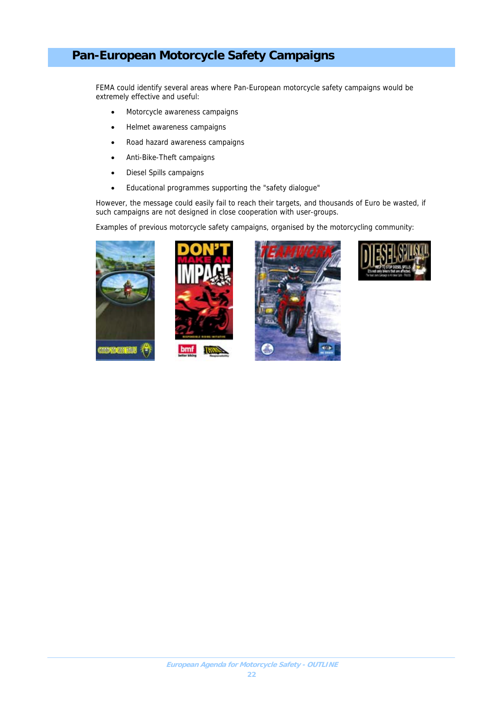## **Pan-European Motorcycle Safety Campaigns**

FEMA could identify several areas where Pan-European motorcycle safety campaigns would be extremely effective and useful:

- Motorcycle awareness campaigns
- Helmet awareness campaigns
- Road hazard awareness campaigns
- Anti-Bike-Theft campaigns
- Diesel Spills campaigns
- Educational programmes supporting the "safety dialogue"

However, the message could easily fail to reach their targets, and thousands of Euro be wasted, if such campaigns are not designed in close cooperation with user-groups.

Examples of previous motorcycle safety campaigns, organised by the motorcycling community:







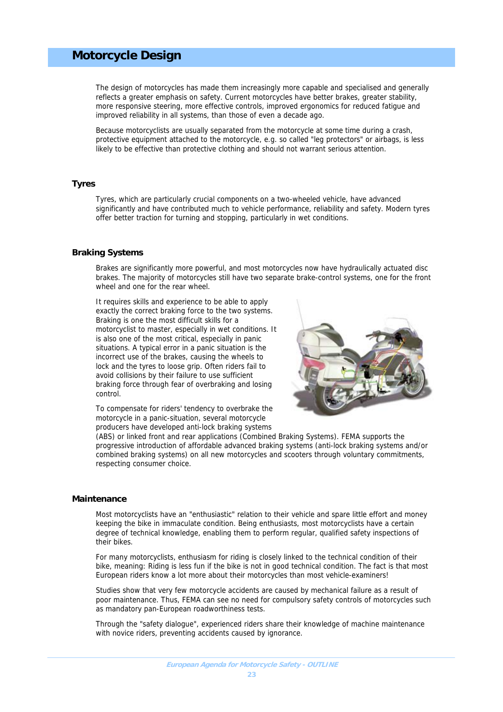### **Motorcycle Design**

The design of motorcycles has made them increasingly more capable and specialised and generally reflects a greater emphasis on safety. Current motorcycles have better brakes, greater stability, more responsive steering, more effective controls, improved ergonomics for reduced fatigue and improved reliability in all systems, than those of even a decade ago.

Because motorcyclists are usually separated from the motorcycle at some time during a crash, protective equipment attached to the motorcycle, e.g. so called "leg protectors" or airbags, is less likely to be effective than protective clothing and should not warrant serious attention.

#### **Tyres**

Tyres, which are particularly crucial components on a two-wheeled vehicle, have advanced significantly and have contributed much to vehicle performance, reliability and safety. Modern tyres offer better traction for turning and stopping, particularly in wet conditions.

#### **Braking Systems**

Brakes are significantly more powerful, and most motorcycles now have hydraulically actuated disc brakes. The majority of motorcycles still have two separate brake-control systems, one for the front wheel and one for the rear wheel.

It requires skills and experience to be able to apply exactly the correct braking force to the two systems. Braking is one the most difficult skills for a motorcyclist to master, especially in wet conditions. It is also one of the most critical, especially in panic situations. A typical error in a panic situation is the incorrect use of the brakes, causing the wheels to lock and the tyres to loose grip. Often riders fail to avoid collisions by their failure to use sufficient braking force through fear of overbraking and losing control.



To compensate for riders' tendency to overbrake the motorcycle in a panic-situation, several motorcycle producers have developed anti-lock braking systems

(ABS) or linked front and rear applications (Combined Braking Systems). FEMA supports the progressive introduction of affordable advanced braking systems (anti-lock braking systems and/or combined braking systems) on all new motorcycles and scooters through voluntary commitments, respecting consumer choice.

#### **Maintenance**

Most motorcyclists have an "enthusiastic" relation to their vehicle and spare little effort and money keeping the bike in immaculate condition. Being enthusiasts, most motorcyclists have a certain degree of technical knowledge, enabling them to perform regular, qualified safety inspections of their bikes.

For many motorcyclists, enthusiasm for riding is closely linked to the technical condition of their bike, meaning: Riding is less fun if the bike is not in good technical condition. The fact is that most European riders know a lot more about their motorcycles than most vehicle-examiners!

Studies show that very few motorcycle accidents are caused by mechanical failure as a result of poor maintenance. Thus, FEMA can see no need for compulsory safety controls of motorcycles such as mandatory pan-European roadworthiness tests.

Through the "safety dialogue", experienced riders share their knowledge of machine maintenance with novice riders, preventing accidents caused by ignorance.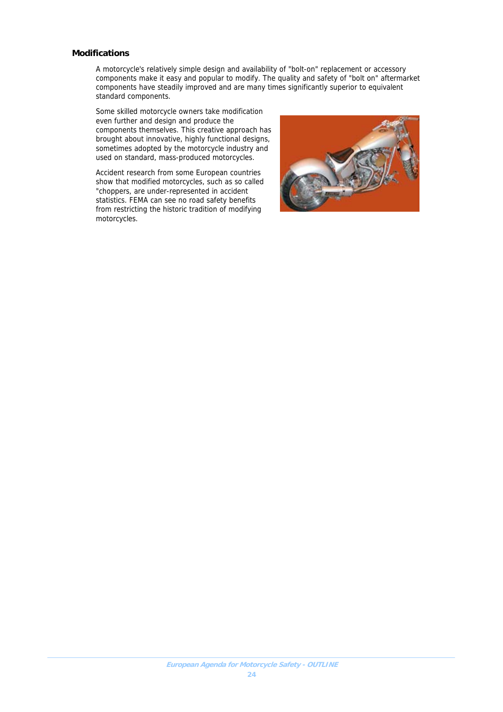#### **Modifications**

A motorcycle's relatively simple design and availability of "bolt-on" replacement or accessory components make it easy and popular to modify. The quality and safety of "bolt on" aftermarket components have steadily improved and are many times significantly superior to equivalent standard components.

Some skilled motorcycle owners take modification even further and design and produce the components themselves. This creative approach has brought about innovative, highly functional designs, sometimes adopted by the motorcycle industry and used on standard, mass-produced motorcycles.

Accident research from some European countries show that modified motorcycles, such as so called "choppers, are under-represented in accident statistics. FEMA can see no road safety benefits from restricting the historic tradition of modifying motorcycles.

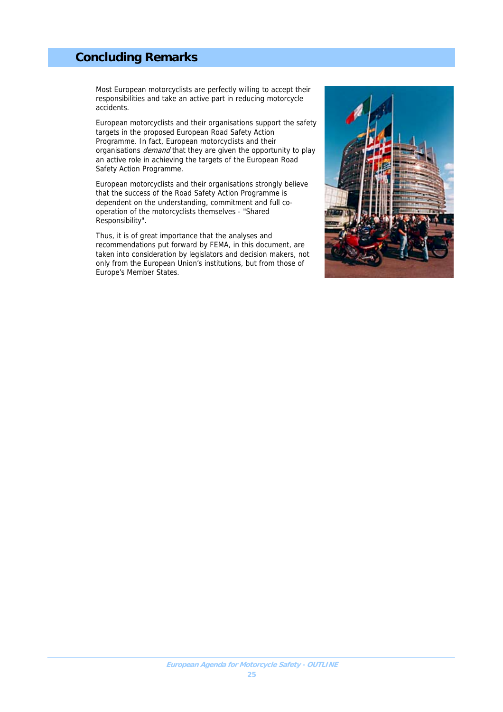## **Concluding Remarks**

Most European motorcyclists are perfectly willing to accept their responsibilities and take an active part in reducing motorcycle accidents.

European motorcyclists and their organisations support the safety targets in the proposed European Road Safety Action Programme. In fact, European motorcyclists and their organisations *demand* that they are given the opportunity to play an active role in achieving the targets of the European Road Safety Action Programme.

European motorcyclists and their organisations strongly believe that the success of the Road Safety Action Programme is dependent on the understanding, commitment and full cooperation of the motorcyclists themselves - "Shared Responsibility".

Thus, it is of great importance that the analyses and recommendations put forward by FEMA, in this document, are taken into consideration by legislators and decision makers, not only from the European Union's institutions, but from those of Europe's Member States.